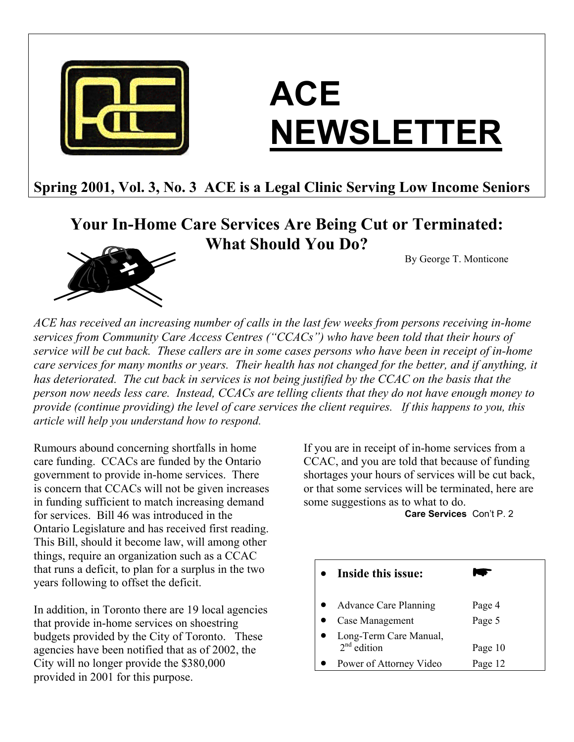

# **ACE NEWSLETTER**

## **Spring 2001, Vol. 3, No. 3 ACE is a Legal Clinic Serving Low Income Seniors**

## **Your In-Home Care Services Are Being Cut or Terminated: What Should You Do?**

By George T. Monticone



*ACE has received an increasing number of calls in the last few weeks from persons receiving in-home services from Community Care Access Centres ("CCACs") who have been told that their hours of service will be cut back. These callers are in some cases persons who have been in receipt of in-home care services for many months or years. Their health has not changed for the better, and if anything, it has deteriorated. The cut back in services is not being justified by the CCAC on the basis that the person now needs less care. Instead, CCACs are telling clients that they do not have enough money to provide (continue providing) the level of care services the client requires. If this happens to you, this article will help you understand how to respond.* 

Rumours abound concerning shortfalls in home care funding. CCACs are funded by the Ontario government to provide in-home services. There is concern that CCACs will not be given increases in funding sufficient to match increasing demand for services. Bill 46 was introduced in the Ontario Legislature and has received first reading. This Bill, should it become law, will among other things, require an organization such as a CCAC that runs a deficit, to plan for a surplus in the two years following to offset the deficit.

In addition, in Toronto there are 19 local agencies that provide in-home services on shoestring budgets provided by the City of Toronto. These agencies have been notified that as of 2002, the City will no longer provide the \$380,000 provided in 2001 for this purpose.

If you are in receipt of in-home services from a CCAC, and you are told that because of funding shortages your hours of services will be cut back, or that some services will be terminated, here are some suggestions as to what to do.

**Care Services** Con't P. 2

| Inside this issue:                      |         |
|-----------------------------------------|---------|
| <b>Advance Care Planning</b>            | Page 4  |
| Case Management                         | Page 5  |
| Long-Term Care Manual,<br>$2nd$ edition | Page 10 |
| Power of Attorney Video                 | Page 12 |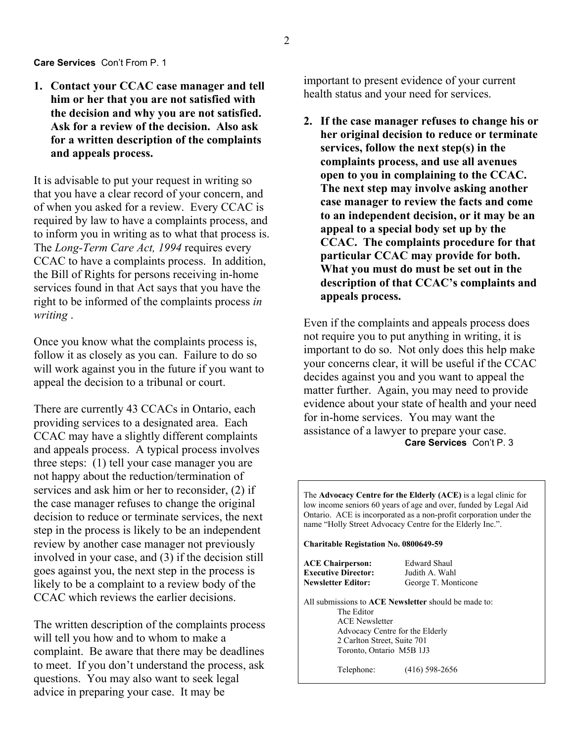#### **Care Services** Con't From P. 1

**1. Contact your CCAC case manager and tell him or her that you are not satisfied with the decision and why you are not satisfied. Ask for a review of the decision. Also ask for a written description of the complaints and appeals process.** 

It is advisable to put your request in writing so that you have a clear record of your concern, and of when you asked for a review. Every CCAC is required by law to have a complaints process, and to inform you in writing as to what that process is. The *Long-Term Care Act, 1994* requires every CCAC to have a complaints process. In addition, the Bill of Rights for persons receiving in-home services found in that Act says that you have the right to be informed of the complaints process *in writing* .

Once you know what the complaints process is, follow it as closely as you can. Failure to do so will work against you in the future if you want to appeal the decision to a tribunal or court.

There are currently 43 CCACs in Ontario, each providing services to a designated area. Each CCAC may have a slightly different complaints and appeals process. A typical process involves three steps: (1) tell your case manager you are not happy about the reduction/termination of services and ask him or her to reconsider, (2) if the case manager refuses to change the original decision to reduce or terminate services, the next step in the process is likely to be an independent review by another case manager not previously involved in your case, and (3) if the decision still goes against you, the next step in the process is likely to be a complaint to a review body of the CCAC which reviews the earlier decisions.

The written description of the complaints process will tell you how and to whom to make a complaint. Be aware that there may be deadlines to meet. If you don't understand the process, ask questions. You may also want to seek legal advice in preparing your case. It may be

important to present evidence of your current health status and your need for services.

**2. If the case manager refuses to change his or her original decision to reduce or terminate services, follow the next step(s) in the complaints process, and use all avenues open to you in complaining to the CCAC. The next step may involve asking another case manager to review the facts and come to an independent decision, or it may be an appeal to a special body set up by the CCAC. The complaints procedure for that particular CCAC may provide for both. What you must do must be set out in the description of that CCAC's complaints and appeals process.** 

Even if the complaints and appeals process does not require you to put anything in writing, it is important to do so. Not only does this help make your concerns clear, it will be useful if the CCAC decides against you and you want to appeal the matter further. Again, you may need to provide evidence about your state of health and your need for in-home services. You may want the assistance of a lawyer to prepare your case. **Care Services** Con't P. 3

The **Advocacy Centre for the Elderly (ACE)** is a legal clinic for low income seniors 60 years of age and over, funded by Legal Aid Ontario. ACE is incorporated as a non-profit corporation under the name "Holly Street Advocacy Centre for the Elderly Inc.".

**Charitable Registation No. 0800649-59** 

| <b>ACE Chairperson:</b><br><b>Executive Director:</b> | <b>Edward Shaul</b><br>Judith A. Wahl                |
|-------------------------------------------------------|------------------------------------------------------|
| <b>Newsletter Editor:</b>                             | George T. Monticone                                  |
|                                                       | All submissions to ACE Newsletter should be made to: |
| The Editor                                            |                                                      |
| <b>ACE Newsletter</b>                                 |                                                      |
|                                                       | Advocacy Centre for the Elderly                      |
| 2 Carlton Street, Suite 701                           |                                                      |
| Toronto, Ontario M5B 1J3                              |                                                      |
| Telephone:                                            | $(416)$ 598-2656                                     |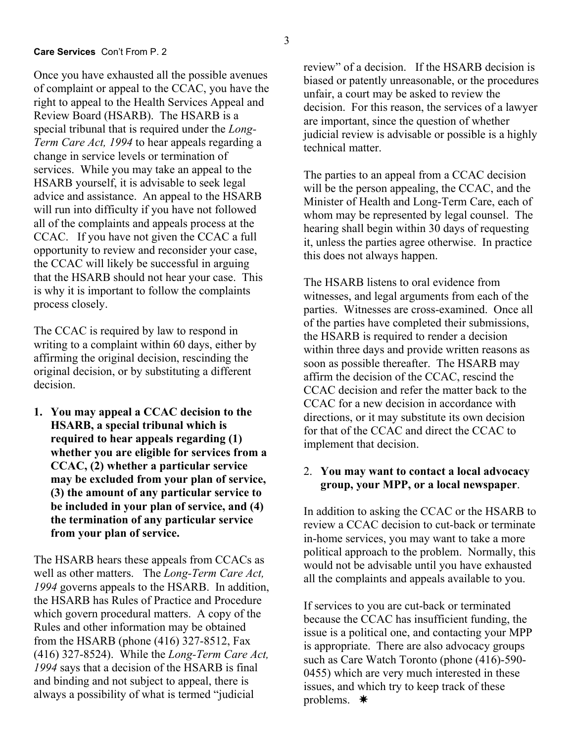Once you have exhausted all the possible avenues of complaint or appeal to the CCAC, you have the right to appeal to the Health Services Appeal and Review Board (HSARB). The HSARB is a special tribunal that is required under the *Long-Term Care Act, 1994* to hear appeals regarding a change in service levels or termination of services. While you may take an appeal to the HSARB yourself, it is advisable to seek legal advice and assistance. An appeal to the HSARB will run into difficulty if you have not followed all of the complaints and appeals process at the CCAC. If you have not given the CCAC a full opportunity to review and reconsider your case, the CCAC will likely be successful in arguing that the HSARB should not hear your case. This is why it is important to follow the complaints process closely.

The CCAC is required by law to respond in writing to a complaint within 60 days, either by affirming the original decision, rescinding the original decision, or by substituting a different decision.

**1. You may appeal a CCAC decision to the HSARB, a special tribunal which is required to hear appeals regarding (1) whether you are eligible for services from a CCAC, (2) whether a particular service may be excluded from your plan of service, (3) the amount of any particular service to be included in your plan of service, and (4) the termination of any particular service from your plan of service.** 

The HSARB hears these appeals from CCACs as well as other matters. The *Long-Term Care Act, 1994* governs appeals to the HSARB. In addition, the HSARB has Rules of Practice and Procedure which govern procedural matters. A copy of the Rules and other information may be obtained from the HSARB (phone (416) 327-8512, Fax (416) 327-8524). While the *Long-Term Care Act, 1994* says that a decision of the HSARB is final and binding and not subject to appeal, there is always a possibility of what is termed "judicial

review" of a decision. If the HSARB decision is biased or patently unreasonable, or the procedures unfair, a court may be asked to review the decision. For this reason, the services of a lawyer are important, since the question of whether judicial review is advisable or possible is a highly technical matter.

The parties to an appeal from a CCAC decision will be the person appealing, the CCAC, and the Minister of Health and Long-Term Care, each of whom may be represented by legal counsel. The hearing shall begin within 30 days of requesting it, unless the parties agree otherwise. In practice this does not always happen.

The HSARB listens to oral evidence from witnesses, and legal arguments from each of the parties. Witnesses are cross-examined. Once all of the parties have completed their submissions, the HSARB is required to render a decision within three days and provide written reasons as soon as possible thereafter. The HSARB may affirm the decision of the CCAC, rescind the CCAC decision and refer the matter back to the CCAC for a new decision in accordance with directions, or it may substitute its own decision for that of the CCAC and direct the CCAC to implement that decision.

#### 2. **You may want to contact a local advocacy group, your MPP, or a local newspaper**.

In addition to asking the CCAC or the HSARB to review a CCAC decision to cut-back or terminate in-home services, you may want to take a more political approach to the problem. Normally, this would not be advisable until you have exhausted all the complaints and appeals available to you.

If services to you are cut-back or terminated because the CCAC has insufficient funding, the issue is a political one, and contacting your MPP is appropriate. There are also advocacy groups such as Care Watch Toronto (phone (416)-590- 0455) which are very much interested in these issues, and which try to keep track of these problems.  $*$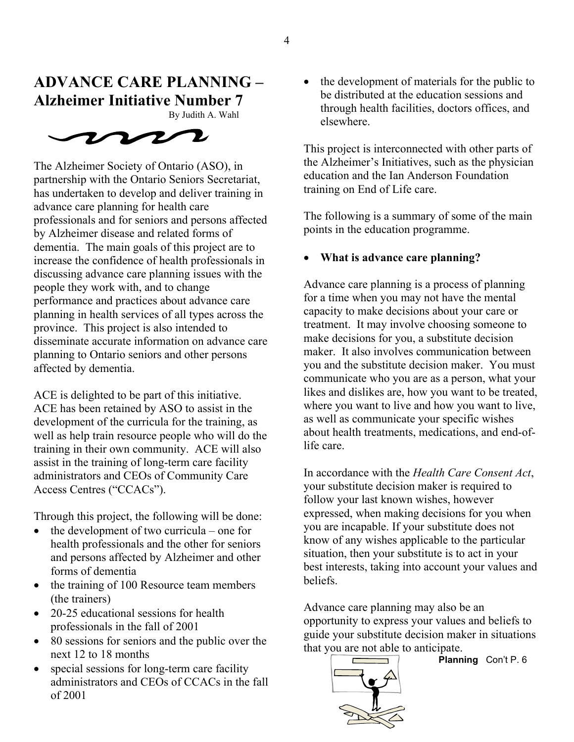## **ADVANCE CARE PLANNING –** • the development of materials for the public to **Alzheimer Initiative Number 7**

By Judith A. Wahl



The Alzheimer Society of Ontario (ASO), in partnership with the Ontario Seniors Secretariat, has undertaken to develop and deliver training in advance care planning for health care professionals and for seniors and persons affected by Alzheimer disease and related forms of dementia. The main goals of this project are to increase the confidence of health professionals in discussing advance care planning issues with the people they work with, and to change performance and practices about advance care planning in health services of all types across the province. This project is also intended to disseminate accurate information on advance care planning to Ontario seniors and other persons affected by dementia.

ACE is delighted to be part of this initiative. ACE has been retained by ASO to assist in the development of the curricula for the training, as well as help train resource people who will do the training in their own community. ACE will also assist in the training of long-term care facility administrators and CEOs of Community Care Access Centres ("CCACs").

Through this project, the following will be done:

- the development of two curricula one for health professionals and the other for seniors and persons affected by Alzheimer and other forms of dementia
- the training of 100 Resource team members (the trainers)<br>20.25 odvestigate care planning may also be an abundance care planning may also be an
- 20-25 educational sessions for health professionals in the fall of 2001
- 80 sessions for seniors and the public over the next 12 to 18 months **Planning** Con't P. 6
- special sessions for long-term care facility administrators and CEOs of CCACs in the fall of 2001

be distributed at the education sessions and through health facilities, doctors offices, and elsewhere.

This project is interconnected with other parts of the Alzheimer's Initiatives, such as the physician education and the Ian Anderson Foundation training on End of Life care.

The following is a summary of some of the main points in the education programme.

### • **What is advance care planning?**

Advance care planning is a process of planning for a time when you may not have the mental capacity to make decisions about your care or treatment. It may involve choosing someone to make decisions for you, a substitute decision maker. It also involves communication between you and the substitute decision maker. You must communicate who you are as a person, what your likes and dislikes are, how you want to be treated, where you want to live and how you want to live, as well as communicate your specific wishes about health treatments, medications, and end-oflife care.

In accordance with the *Health Care Consent Act*, your substitute decision maker is required to follow your last known wishes, however expressed, when making decisions for you when you are incapable. If your substitute does not know of any wishes applicable to the particular situation, then your substitute is to act in your best interests, taking into account your values and beliefs.

opportunity to express your values and beliefs to guide your substitute decision maker in situations that you are not able to anticipate.

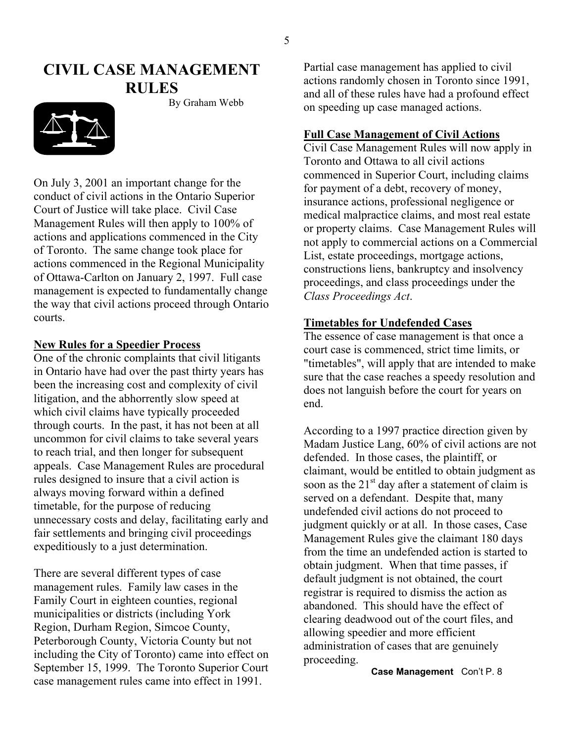## **CIVIL CASE MANAGEMENT RULES**



On July 3, 2001 an important change for the conduct of civil actions in the Ontario Superior Court of Justice will take place. Civil Case Management Rules will then apply to 100% of actions and applications commenced in the City of Toronto. The same change took place for actions commenced in the Regional Municipality of Ottawa-Carlton on January 2, 1997. Full case management is expected to fundamentally change the way that civil actions proceed through Ontario courts. **Timetables for Undefended Cases**

#### **New Rules for a Speedier Process**

One of the chronic complaints that civil litigants in Ontario have had over the past thirty years has been the increasing cost and complexity of civil litigation, and the abhorrently slow speed at which civil claims have typically proceeded through courts. In the past, it has not been at all uncommon for civil claims to take several years to reach trial, and then longer for subsequent appeals. Case Management Rules are procedural rules designed to insure that a civil action is always moving forward within a defined timetable, for the purpose of reducing unnecessary costs and delay, facilitating early and fair settlements and bringing civil proceedings expeditiously to a just determination.

There are several different types of case management rules. Family law cases in the Family Court in eighteen counties, regional municipalities or districts (including York Region, Durham Region, Simcoe County, Peterborough County, Victoria County but not including the City of Toronto) came into effect on September 15, 1999. The Toronto Superior Court case management rules came into effect in 1991.

Partial case management has applied to civil actions randomly chosen in Toronto since 1991, and all of these rules have had a profound effect By Graham Webb on speeding up case managed actions.

#### **Full Case Management of Civil Actions**

Civil Case Management Rules will now apply in Toronto and Ottawa to all civil actions commenced in Superior Court, including claims for payment of a debt, recovery of money, insurance actions, professional negligence or medical malpractice claims, and most real estate or property claims. Case Management Rules will not apply to commercial actions on a Commercial List, estate proceedings, mortgage actions, constructions liens, bankruptcy and insolvency proceedings, and class proceedings under the *Class Proceedings Act*.

The essence of case management is that once a court case is commenced, strict time limits, or "timetables", will apply that are intended to make sure that the case reaches a speedy resolution and does not languish before the court for years on end.

According to a 1997 practice direction given by Madam Justice Lang, 60% of civil actions are not defended. In those cases, the plaintiff, or claimant, would be entitled to obtain judgment as soon as the  $21<sup>st</sup>$  day after a statement of claim is served on a defendant. Despite that, many undefended civil actions do not proceed to judgment quickly or at all. In those cases, Case Management Rules give the claimant 180 days from the time an undefended action is started to obtain judgment. When that time passes, if default judgment is not obtained, the court registrar is required to dismiss the action as abandoned. This should have the effect of clearing deadwood out of the court files, and allowing speedier and more efficient administration of cases that are genuinely proceeding.

 **Case Management** Con't P. 8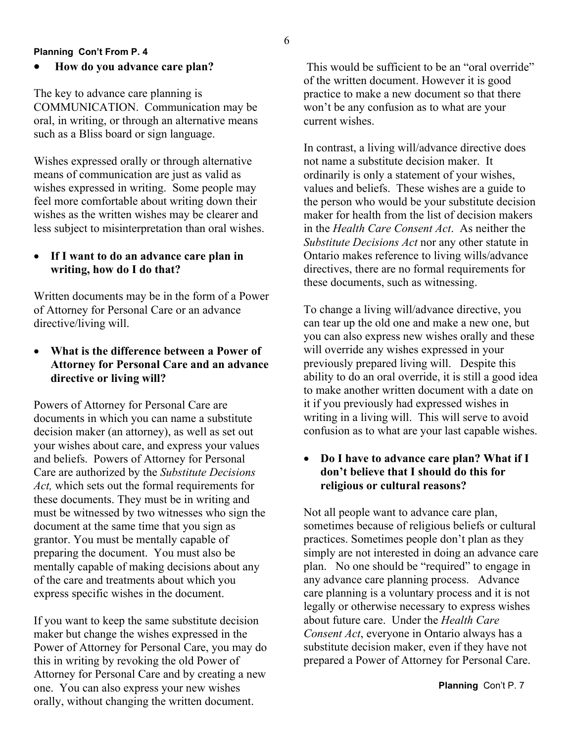#### **Planning Con't From P. 4**

#### • **How do you advance care plan?**

The key to advance care planning is COMMUNICATION. Communication may be oral, in writing, or through an alternative means such as a Bliss board or sign language.

Wishes expressed orally or through alternative means of communication are just as valid as wishes expressed in writing. Some people may feel more comfortable about writing down their wishes as the written wishes may be clearer and less subject to misinterpretation than oral wishes.

#### • **If I want to do an advance care plan in writing, how do I do that?**

Written documents may be in the form of a Power of Attorney for Personal Care or an advance directive/living will.

#### • **What is the difference between a Power of Attorney for Personal Care and an advance directive or living will?**

Powers of Attorney for Personal Care are documents in which you can name a substitute decision maker (an attorney), as well as set out your wishes about care, and express your values and beliefs. Powers of Attorney for Personal Care are authorized by the *Substitute Decisions Act,* which sets out the formal requirements for these documents. They must be in writing and must be witnessed by two witnesses who sign the document at the same time that you sign as grantor. You must be mentally capable of preparing the document. You must also be mentally capable of making decisions about any of the care and treatments about which you express specific wishes in the document.

If you want to keep the same substitute decision maker but change the wishes expressed in the Power of Attorney for Personal Care, you may do this in writing by revoking the old Power of Attorney for Personal Care and by creating a new one. You can also express your new wishes orally, without changing the written document.

This would be sufficient to be an "oral override" of the written document. However it is good practice to make a new document so that there won't be any confusion as to what are your current wishes.

In contrast, a living will/advance directive does not name a substitute decision maker. It ordinarily is only a statement of your wishes, values and beliefs. These wishes are a guide to the person who would be your substitute decision maker for health from the list of decision makers in the *Health Care Consent Act*. As neither the *Substitute Decisions Act* nor any other statute in Ontario makes reference to living wills/advance directives, there are no formal requirements for these documents, such as witnessing.

To change a living will/advance directive, you can tear up the old one and make a new one, but you can also express new wishes orally and these will override any wishes expressed in your previously prepared living will. Despite this ability to do an oral override, it is still a good idea to make another written document with a date on it if you previously had expressed wishes in writing in a living will. This will serve to avoid confusion as to what are your last capable wishes.

#### • **Do I have to advance care plan? What if I don't believe that I should do this for religious or cultural reasons?**

Not all people want to advance care plan, sometimes because of religious beliefs or cultural practices. Sometimes people don't plan as they simply are not interested in doing an advance care plan. No one should be "required" to engage in any advance care planning process. Advance care planning is a voluntary process and it is not legally or otherwise necessary to express wishes about future care. Under the *Health Care Consent Act*, everyone in Ontario always has a substitute decision maker, even if they have not prepared a Power of Attorney for Personal Care.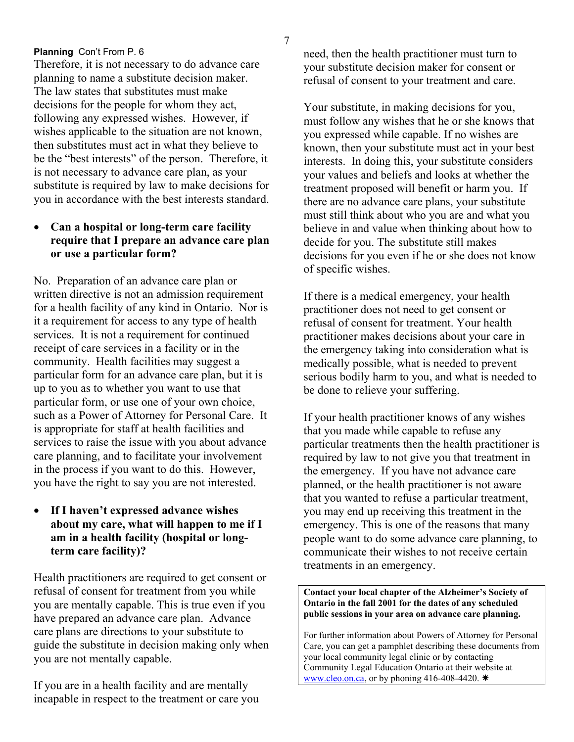#### **Planning** Con't From P. 6

Therefore, it is not necessary to do advance care planning to name a substitute decision maker. The law states that substitutes must make decisions for the people for whom they act, following any expressed wishes. However, if wishes applicable to the situation are not known, then substitutes must act in what they believe to be the "best interests" of the person. Therefore, it is not necessary to advance care plan, as your substitute is required by law to make decisions for you in accordance with the best interests standard.

#### • **Can a hospital or long-term care facility require that I prepare an advance care plan or use a particular form?**

No. Preparation of an advance care plan or written directive is not an admission requirement for a health facility of any kind in Ontario. Nor is it a requirement for access to any type of health services. It is not a requirement for continued receipt of care services in a facility or in the community. Health facilities may suggest a particular form for an advance care plan, but it is up to you as to whether you want to use that particular form, or use one of your own choice, such as a Power of Attorney for Personal Care. It is appropriate for staff at health facilities and services to raise the issue with you about advance care planning, and to facilitate your involvement in the process if you want to do this. However, you have the right to say you are not interested.

#### • **If I haven't expressed advance wishes about my care, what will happen to me if I am in a health facility (hospital or longterm care facility)?**

Health practitioners are required to get consent or refusal of consent for treatment from you while you are mentally capable. This is true even if you have prepared an advance care plan. Advance care plans are directions to your substitute to guide the substitute in decision making only when you are not mentally capable.

If you are in a health facility and are mentally incapable in respect to the treatment or care you need, then the health practitioner must turn to your substitute decision maker for consent or refusal of consent to your treatment and care.

Your substitute, in making decisions for you, must follow any wishes that he or she knows that you expressed while capable. If no wishes are known, then your substitute must act in your best interests. In doing this, your substitute considers your values and beliefs and looks at whether the treatment proposed will benefit or harm you. If there are no advance care plans, your substitute must still think about who you are and what you believe in and value when thinking about how to decide for you. The substitute still makes decisions for you even if he or she does not know of specific wishes.

If there is a medical emergency, your health practitioner does not need to get consent or refusal of consent for treatment. Your health practitioner makes decisions about your care in the emergency taking into consideration what is medically possible, what is needed to prevent serious bodily harm to you, and what is needed to be done to relieve your suffering.

If your health practitioner knows of any wishes that you made while capable to refuse any particular treatments then the health practitioner is required by law to not give you that treatment in the emergency. If you have not advance care planned, or the health practitioner is not aware that you wanted to refuse a particular treatment, you may end up receiving this treatment in the emergency. This is one of the reasons that many people want to do some advance care planning, to communicate their wishes to not receive certain treatments in an emergency.

**Contact your local chapter of the Alzheimer's Society of Ontario in the fall 2001 for the dates of any scheduled public sessions in your area on advance care planning.** 

For further information about Powers of Attorney for Personal Care, you can get a pamphlet describing these documents from your local community legal clinic or by contacting Community Legal Education Ontario at their website at [www.cleo.on.ca,](http://www.cleo.on.ca/) or by phoning 416-408-4420.  $*$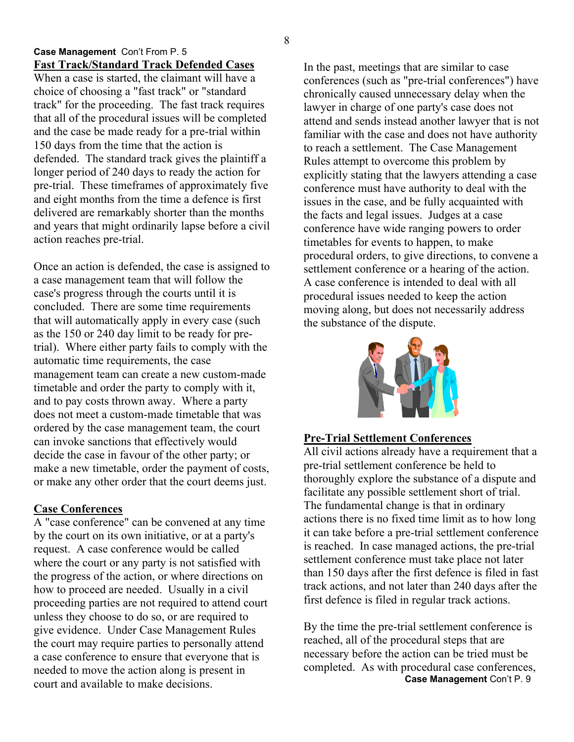#### **Case Management** Con't From P. 5 **Fast Track/Standard Track Defended Cases** In the past, meetings that are similar to case

When a case is started, the claimant will have a choice of choosing a "fast track" or "standard track" for the proceeding. The fast track requires that all of the procedural issues will be completed and the case be made ready for a pre-trial within 150 days from the time that the action is defended. The standard track gives the plaintiff a longer period of 240 days to ready the action for pre-trial. These timeframes of approximately five and eight months from the time a defence is first delivered are remarkably shorter than the months and years that might ordinarily lapse before a civil action reaches pre-trial.

Once an action is defended, the case is assigned to a case management team that will follow the case's progress through the courts until it is concluded. There are some time requirements that will automatically apply in every case (such as the 150 or 240 day limit to be ready for pretrial). Where either party fails to comply with the automatic time requirements, the case management team can create a new custom-made timetable and order the party to comply with it, and to pay costs thrown away. Where a party does not meet a custom-made timetable that was ordered by the case management team, the court can invoke sanctions that effectively would decide the case in favour of the other party; or make a new timetable, order the payment of costs, or make any other order that the court deems just.

#### **Case Conferences**

A "case conference" can be convened at any time by the court on its own initiative, or at a party's request. A case conference would be called where the court or any party is not satisfied with the progress of the action, or where directions on how to proceed are needed. Usually in a civil proceeding parties are not required to attend court unless they choose to do so, or are required to give evidence. Under Case Management Rules the court may require parties to personally attend a case conference to ensure that everyone that is needed to move the action along is present in court and available to make decisions.

conferences (such as "pre-trial conferences") have chronically caused unnecessary delay when the lawyer in charge of one party's case does not attend and sends instead another lawyer that is not familiar with the case and does not have authority to reach a settlement. The Case Management Rules attempt to overcome this problem by explicitly stating that the lawyers attending a case conference must have authority to deal with the issues in the case, and be fully acquainted with the facts and legal issues. Judges at a case conference have wide ranging powers to order timetables for events to happen, to make procedural orders, to give directions, to convene a settlement conference or a hearing of the action. A case conference is intended to deal with all procedural issues needed to keep the action moving along, but does not necessarily address the substance of the dispute.



#### **Pre-Trial Settlement Conferences**

All civil actions already have a requirement that a pre-trial settlement conference be held to thoroughly explore the substance of a dispute and facilitate any possible settlement short of trial. The fundamental change is that in ordinary actions there is no fixed time limit as to how long it can take before a pre-trial settlement conference is reached. In case managed actions, the pre-trial settlement conference must take place not later than 150 days after the first defence is filed in fast track actions, and not later than 240 days after the first defence is filed in regular track actions.

By the time the pre-trial settlement conference is reached, all of the procedural steps that are necessary before the action can be tried must be completed. As with procedural case conferences, **Case Management** Con't P. 9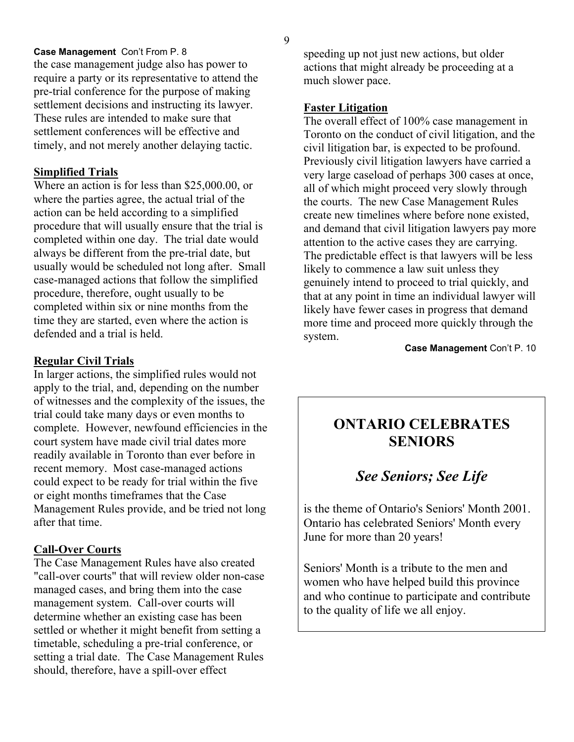#### **Case Management** Con't From P. 8

the case management judge also has power to require a party or its representative to attend the pre-trial conference for the purpose of making settlement decisions and instructing its lawyer. These rules are intended to make sure that settlement conferences will be effective and timely, and not merely another delaying tactic.

#### **Simplified Trials**

Where an action is for less than \$25,000.00, or where the parties agree, the actual trial of the action can be held according to a simplified procedure that will usually ensure that the trial is completed within one day. The trial date would always be different from the pre-trial date, but usually would be scheduled not long after. Small case-managed actions that follow the simplified procedure, therefore, ought usually to be completed within six or nine months from the time they are started, even where the action is defended and a trial is held.

#### **Regular Civil Trials**

In larger actions, the simplified rules would not apply to the trial, and, depending on the number of witnesses and the complexity of the issues, the trial could take many days or even months to complete. However, newfound efficiencies in the court system have made civil trial dates more readily available in Toronto than ever before in recent memory. Most case-managed actions could expect to be ready for trial within the five or eight months timeframes that the Case Management Rules provide, and be tried not long after that time.

#### **Call-Over Courts**

The Case Management Rules have also created "call-over courts" that will review older non-case managed cases, and bring them into the case management system. Call-over courts will determine whether an existing case has been settled or whether it might benefit from setting a timetable, scheduling a pre-trial conference, or setting a trial date. The Case Management Rules should, therefore, have a spill-over effect

speeding up not just new actions, but older actions that might already be proceeding at a much slower pace.

#### **Faster Litigation**

The overall effect of 100% case management in Toronto on the conduct of civil litigation, and the civil litigation bar, is expected to be profound. Previously civil litigation lawyers have carried a very large caseload of perhaps 300 cases at once, all of which might proceed very slowly through the courts. The new Case Management Rules create new timelines where before none existed, and demand that civil litigation lawyers pay more attention to the active cases they are carrying. The predictable effect is that lawyers will be less likely to commence a law suit unless they genuinely intend to proceed to trial quickly, and that at any point in time an individual lawyer will likely have fewer cases in progress that demand more time and proceed more quickly through the system.

**Case Management** Con't P. 10

## **ONTARIO CELEBRATES SENIORS**

## *See Seniors; See Life*

is the theme of Ontario's Seniors' Month 2001. Ontario has celebrated Seniors' Month every June for more than 20 years!

Seniors' Month is a tribute to the men and women who have helped build this province and who continue to participate and contribute to the quality of life we all enjoy.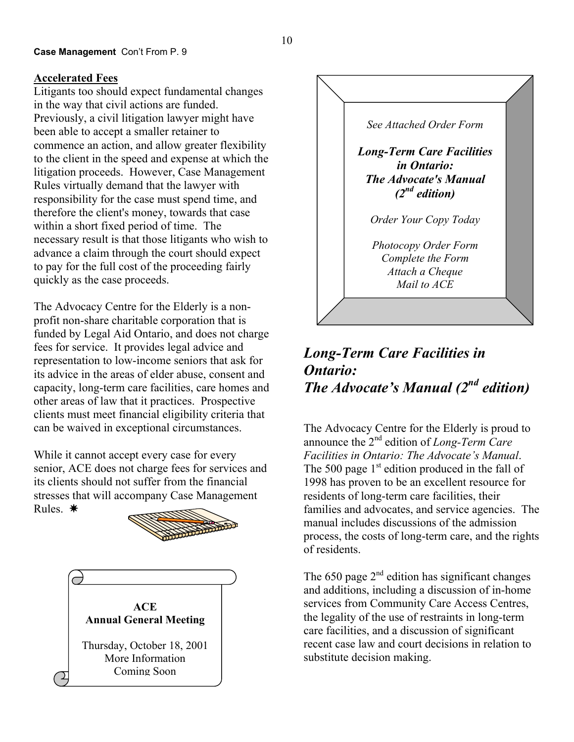#### **Case Management** Con't From P. 9

#### **Accelerated Fees**

Litigants too should expect fundamental changes in the way that civil actions are funded. Previously, a civil litigation lawyer might have been able to accept a smaller retainer to commence an action, and allow greater flexibility to the client in the speed and expense at which the litigation proceeds. However, Case Management Rules virtually demand that the lawyer with responsibility for the case must spend time, and therefore the client's money, towards that case within a short fixed period of time. The necessary result is that those litigants who wish to advance a claim through the court should expect to pay for the full cost of the proceeding fairly quickly as the case proceeds.

The Advocacy Centre for the Elderly is a nonprofit non-share charitable corporation that is funded by Legal Aid Ontario, and does not charge fees for service. It provides legal advice and representation to low-income seniors that ask for its advice in the areas of elder abuse, consent and capacity, long-term care facilities, care homes and other areas of law that it practices. Prospective clients must meet financial eligibility criteria that can be waived in exceptional circumstances.

While it cannot accept every case for every senior, ACE does not charge fees for services and its clients should not suffer from the financial stresses that will accompany Case Management Rules  $*$ 







## *Long-Term Care Facilities in Ontario: The Advocate's Manual (2nd edition)*

The Advocacy Centre for the Elderly is proud to announce the 2nd edition of *Long-Term Care Facilities in Ontario: The Advocate's Manual*. The 500 page  $1<sup>st</sup>$  edition produced in the fall of 1998 has proven to be an excellent resource for residents of long-term care facilities, their families and advocates, and service agencies. The manual includes discussions of the admission process, the costs of long-term care, and the rights of residents.

The 650 page  $2<sup>nd</sup>$  edition has significant changes and additions, including a discussion of in-home services from Community Care Access Centres, the legality of the use of restraints in long-term care facilities, and a discussion of significant recent case law and court decisions in relation to substitute decision making.

10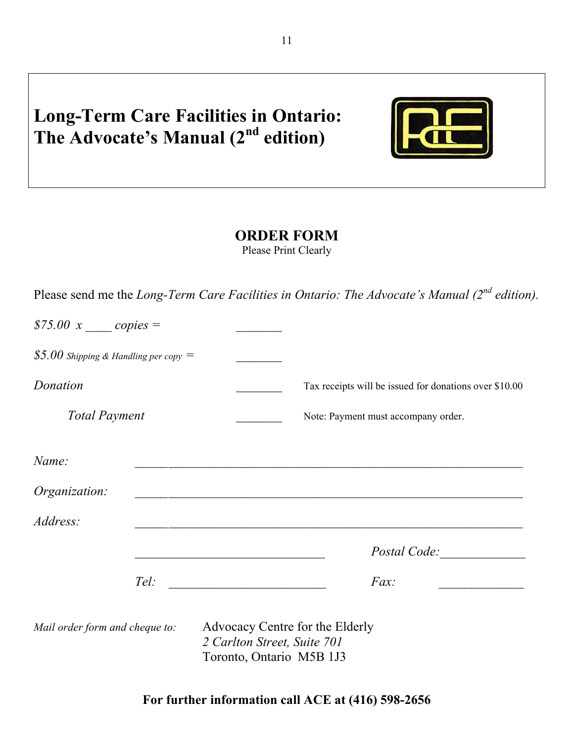## **Long-Term Care Facilities in Ontario:**  The Advocate's Manual (2<sup>nd</sup> edition)



## **ORDER FORM**

Please Print Clearly

Please send me the *Long-Term Care Facilities in Ontario: The Advocate's Manual (2nd edition).* 

| \$75.00 $x$ _____ copies =              |  |                                                                                            |                                                                                                                       |  |
|-----------------------------------------|--|--------------------------------------------------------------------------------------------|-----------------------------------------------------------------------------------------------------------------------|--|
| \$5.00 Shipping & Handling per copy $=$ |  |                                                                                            |                                                                                                                       |  |
| Donation                                |  |                                                                                            | Tax receipts will be issued for donations over \$10.00                                                                |  |
| <b>Total Payment</b>                    |  |                                                                                            | Note: Payment must accompany order.                                                                                   |  |
| Name:                                   |  |                                                                                            |                                                                                                                       |  |
| <i>Organization:</i>                    |  |                                                                                            | <u> 1989 - Johann Johann Stoff, deutscher Stoffen und der Stoffen und der Stoffen und der Stoffen und der Stoffen</u> |  |
| Address:                                |  |                                                                                            | and the control of the control of the control of the control of the control of the control of the control of the      |  |
|                                         |  |                                                                                            |                                                                                                                       |  |
|                                         |  |                                                                                            | $Fax$ :                                                                                                               |  |
| Mail order form and cheque to:          |  | Advocacy Centre for the Elderly<br>2 Carlton Street, Suite 701<br>Toronto, Ontario M5B 1J3 |                                                                                                                       |  |

**For further information call ACE at (416) 598-2656**